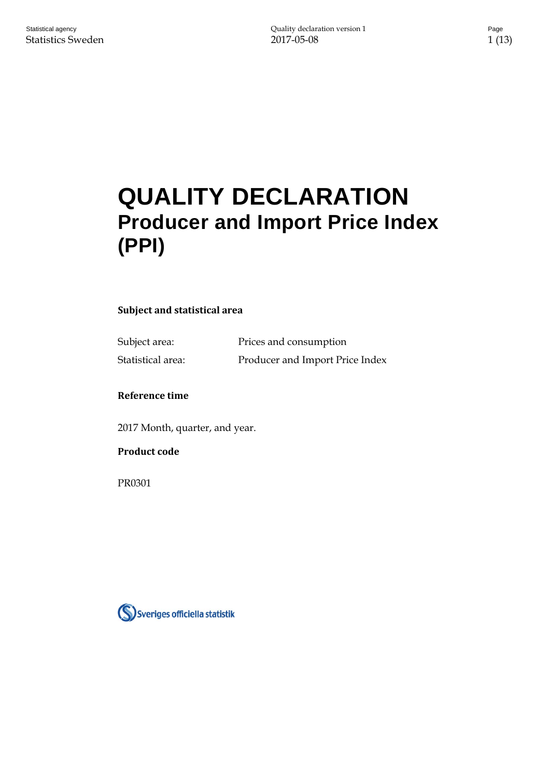# **QUALITY DECLARATION Producer and Import Price Index (PPI)**

#### **Subject and statistical area**

Subject area: Prices and consumption Statistical area: Producer and Import Price Index

#### **Reference time**

2017 Month, quarter, and year.

#### **Product code**

PR0301

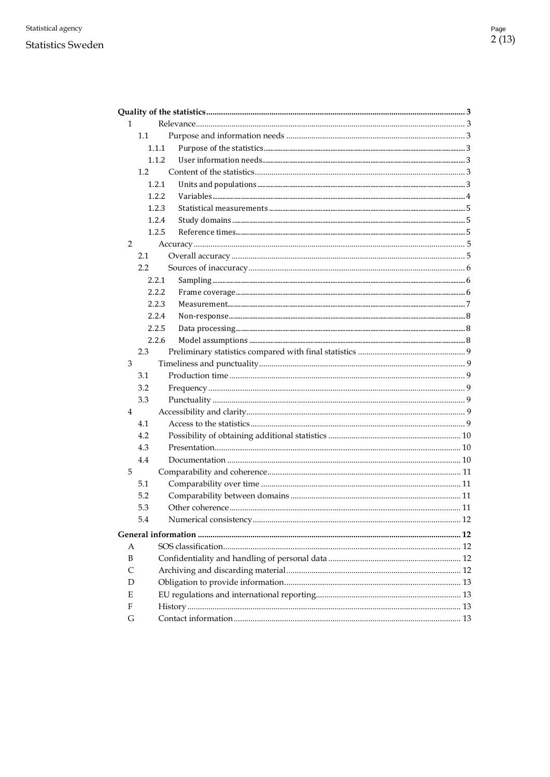#### **Statistics Sweden**

| $\mathbf{1}$   |               |  |
|----------------|---------------|--|
|                | 1.1           |  |
|                | 1.1.1         |  |
|                | 1.1.2         |  |
|                | 1.2           |  |
|                | 1.2.1         |  |
|                | 1.2.2         |  |
|                | 1.2.3         |  |
|                | 1.2.4         |  |
|                | 1.2.5         |  |
| $\overline{2}$ |               |  |
|                | 2.1           |  |
|                | $2.2^{\circ}$ |  |
|                | 2.2.1         |  |
|                | 2.2.2         |  |
|                | 2.2.3         |  |
|                | 2.2.4         |  |
|                | 2.2.5         |  |
|                | 2.2.6         |  |
|                | 2.3           |  |
| 3              |               |  |
|                | 3.1           |  |
|                | 3.2           |  |
|                | 3.3           |  |
| $\overline{4}$ |               |  |
|                | 4.1           |  |
|                | 4.2           |  |
|                | 4.3           |  |
|                | 4.4           |  |
| 5              |               |  |
|                | 5.1           |  |
|                | 5.2           |  |
|                | 5.3           |  |
|                | 5.4           |  |
|                |               |  |
| A              |               |  |
| B              |               |  |
| C              |               |  |
| D              |               |  |
| Е              |               |  |
| F              |               |  |
| G              |               |  |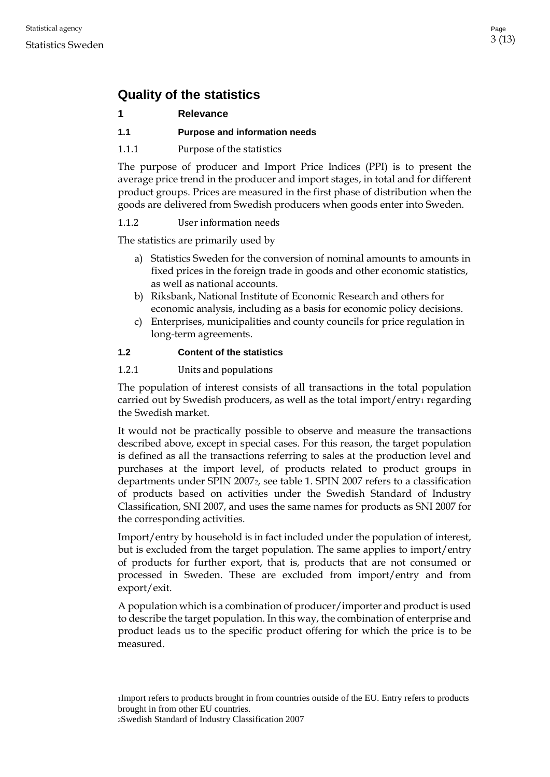# <span id="page-2-0"></span>**Quality of the statistics**

#### <span id="page-2-1"></span>**1 Relevance**

#### <span id="page-2-2"></span>**1.1 Purpose and information needs**

<span id="page-2-3"></span>1.1.1 Purpose of the statistics

The purpose of producer and Import Price Indices (PPI) is to present the average price trend in the producer and import stages, in total and for different product groups. Prices are measured in the first phase of distribution when the goods are delivered from Swedish producers when goods enter into Sweden.

#### <span id="page-2-4"></span>1.1.2 User information needs

The statistics are primarily used by

- a) Statistics Sweden for the conversion of nominal amounts to amounts in fixed prices in the foreign trade in goods and other economic statistics, as well as national accounts.
- b) Riksbank, National Institute of Economic Research and others for economic analysis, including as a basis for economic policy decisions.
- c) Enterprises, municipalities and county councils for price regulation in long-term agreements.

#### <span id="page-2-5"></span>**1.2 Content of the statistics**

#### <span id="page-2-6"></span>1.2.1 Units and populations

The population of interest consists of all transactions in the total population carried out by Swedish producers, as well as the total import/entry<sub>[1](#page-2-7)</sub> regarding the Swedish market.

It would not be practically possible to observe and measure the transactions described above, except in special cases. For this reason, the target population is defined as all the transactions referring to sales at the production level and purchases at the import level, of products related to product groups in departments under SPIN 2007[2](#page-2-8), see table 1. SPIN 2007 refers to a classification of products based on activities under the Swedish Standard of Industry Classification, SNI 2007, and uses the same names for products as SNI 2007 for the corresponding activities.

Import/entry by household is in fact included under the population of interest, but is excluded from the target population. The same applies to import/entry of products for further export, that is, products that are not consumed or processed in Sweden. These are excluded from import/entry and from export/exit.

<span id="page-2-8"></span><span id="page-2-7"></span>A population which is a combination of producer/importer and product is used to describe the target population. In this way, the combination of enterprise and product leads us to the specific product offering for which the price is to be measured.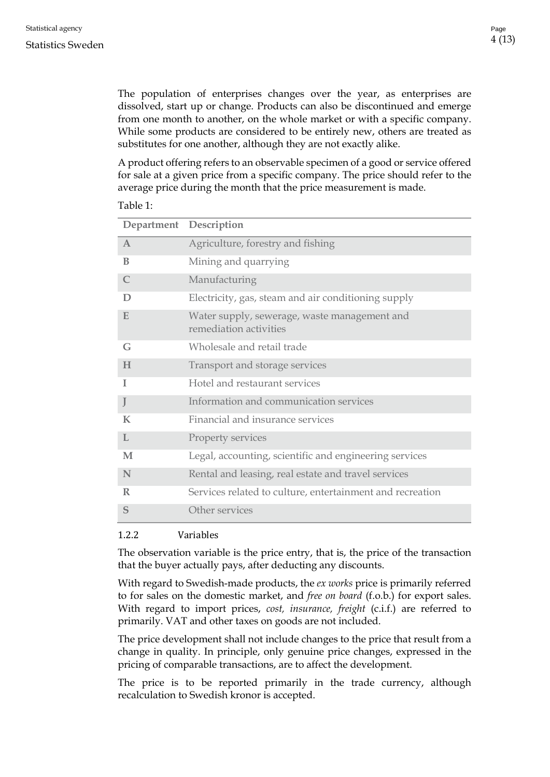The population of enterprises changes over the year, as enterprises are dissolved, start up or change. Products can also be discontinued and emerge from one month to another, on the whole market or with a specific company. While some products are considered to be entirely new, others are treated as substitutes for one another, although they are not exactly alike.

A product offering refers to an observable specimen of a good or service offered for sale at a given price from a specific company. The price should refer to the average price during the month that the price measurement is made.

#### Table 1:

| Department Description |                                                                        |
|------------------------|------------------------------------------------------------------------|
| $\mathbf{A}$           | Agriculture, forestry and fishing                                      |
| B                      | Mining and quarrying                                                   |
| $\mathcal{C}$          | Manufacturing                                                          |
| D                      | Electricity, gas, steam and air conditioning supply                    |
| E                      | Water supply, sewerage, waste management and<br>remediation activities |
| G                      | Wholesale and retail trade                                             |
| H                      | Transport and storage services                                         |
| I                      | Hotel and restaurant services                                          |
| J                      | Information and communication services                                 |
| K                      | Financial and insurance services                                       |
| L                      | Property services                                                      |
| M                      | Legal, accounting, scientific and engineering services                 |
| N                      | Rental and leasing, real estate and travel services                    |
| $\mathbb{R}$           | Services related to culture, entertainment and recreation              |
| S                      | Other services                                                         |

#### <span id="page-3-0"></span>1.2.2 Variables

The observation variable is the price entry, that is, the price of the transaction that the buyer actually pays, after deducting any discounts.

With regard to Swedish-made products, the *ex works* price is primarily referred to for sales on the domestic market, and *free on board* (f.o.b.) for export sales. With regard to import prices, *cost, insurance, freight* (c.i.f.) are referred to primarily. VAT and other taxes on goods are not included.

The price development shall not include changes to the price that result from a change in quality. In principle, only genuine price changes, expressed in the pricing of comparable transactions, are to affect the development.

The price is to be reported primarily in the trade currency, although recalculation to Swedish kronor is accepted.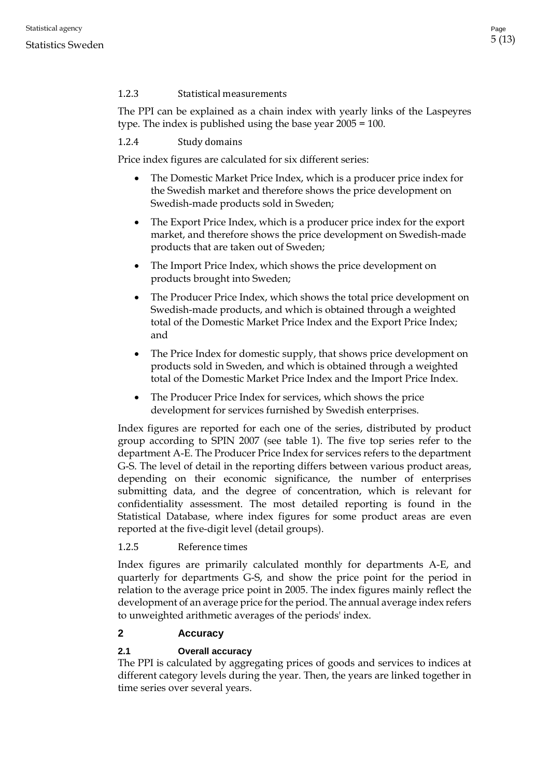## <span id="page-4-0"></span>1.2.3 Statistical measurements

The PPI can be explained as a chain index with yearly links of the Laspeyres type. The index is published using the base year 2005 = 100.

<span id="page-4-1"></span>1.2.4 Study domains

Price index figures are calculated for six different series:

- The Domestic Market Price Index, which is a producer price index for the Swedish market and therefore shows the price development on Swedish-made products sold in Sweden;
- The Export Price Index, which is a producer price index for the export market, and therefore shows the price development on Swedish-made products that are taken out of Sweden;
- The Import Price Index, which shows the price development on products brought into Sweden;
- The Producer Price Index, which shows the total price development on Swedish-made products, and which is obtained through a weighted total of the Domestic Market Price Index and the Export Price Index; and
- The Price Index for domestic supply, that shows price development on products sold in Sweden, and which is obtained through a weighted total of the Domestic Market Price Index and the Import Price Index.
- The Producer Price Index for services, which shows the price development for services furnished by Swedish enterprises.

Index figures are reported for each one of the series, distributed by product group according to SPIN 2007 (see table 1). The five top series refer to the department A-E. The Producer Price Index for services refers to the department G-S. The level of detail in the reporting differs between various product areas, depending on their economic significance, the number of enterprises submitting data, and the degree of concentration, which is relevant for confidentiality assessment. The most detailed reporting is found in the Statistical Database, where index figures for some product areas are even reported at the five-digit level (detail groups).

## <span id="page-4-2"></span>1.2.5 Reference times

Index figures are primarily calculated monthly for departments A-E, and quarterly for departments G-S, and show the price point for the period in relation to the average price point in 2005. The index figures mainly reflect the development of an average price for the period. The annual average index refers to unweighted arithmetic averages of the periods' index.

# <span id="page-4-3"></span>**2 Accuracy**

# <span id="page-4-4"></span>**2.1 Overall accuracy**

The PPI is calculated by aggregating prices of goods and services to indices at different category levels during the year. Then, the years are linked together in time series over several years.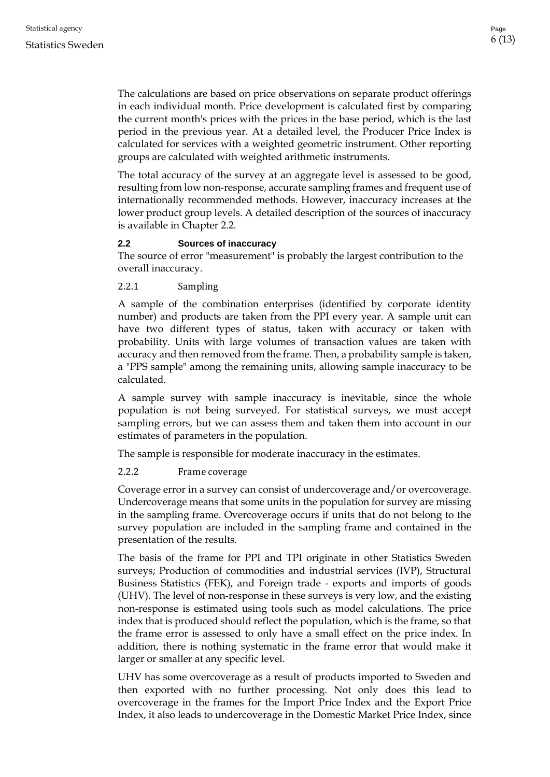The calculations are based on price observations on separate product offerings in each individual month. Price development is calculated first by comparing the current month's prices with the prices in the base period, which is the last period in the previous year. At a detailed level, the Producer Price Index is calculated for services with a weighted geometric instrument. Other reporting groups are calculated with weighted arithmetic instruments.

The total accuracy of the survey at an aggregate level is assessed to be good, resulting from low non-response, accurate sampling frames and frequent use of internationally recommended methods. However, inaccuracy increases at the lower product group levels. A detailed description of the sources of inaccuracy is available in Chapter 2.2.

#### <span id="page-5-0"></span>**2.2 Sources of inaccuracy**

The source of error "measurement" is probably the largest contribution to the overall inaccuracy.

<span id="page-5-1"></span>2.2.1 Sampling

A sample of the combination enterprises (identified by corporate identity number) and products are taken from the PPI every year. A sample unit can have two different types of status, taken with accuracy or taken with probability. Units with large volumes of transaction values are taken with accuracy and then removed from the frame. Then, a probability sample is taken, a "PPS sample" among the remaining units, allowing sample inaccuracy to be calculated.

A sample survey with sample inaccuracy is inevitable, since the whole population is not being surveyed. For statistical surveys, we must accept sampling errors, but we can assess them and taken them into account in our estimates of parameters in the population.

The sample is responsible for moderate inaccuracy in the estimates.

#### <span id="page-5-2"></span>2.2.2 Frame coverage

Coverage error in a survey can consist of undercoverage and/or overcoverage. Undercoverage means that some units in the population for survey are missing in the sampling frame. Overcoverage occurs if units that do not belong to the survey population are included in the sampling frame and contained in the presentation of the results.

The basis of the frame for PPI and TPI originate in other Statistics Sweden surveys; Production of commodities and industrial services (IVP), Structural Business Statistics (FEK), and Foreign trade - exports and imports of goods (UHV). The level of non-response in these surveys is very low, and the existing non-response is estimated using tools such as model calculations. The price index that is produced should reflect the population, which is the frame, so that the frame error is assessed to only have a small effect on the price index. In addition, there is nothing systematic in the frame error that would make it larger or smaller at any specific level.

UHV has some overcoverage as a result of products imported to Sweden and then exported with no further processing. Not only does this lead to overcoverage in the frames for the Import Price Index and the Export Price Index, it also leads to undercoverage in the Domestic Market Price Index, since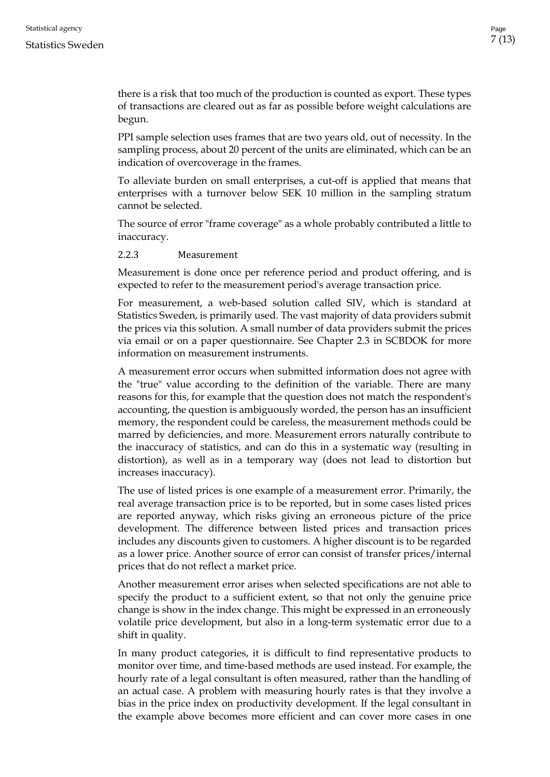#### Statistics Sweden

there is a risk that too much of the production is counted as export. These types of transactions are cleared out as far as possible before weight calculations are begun.

PPI sample selection uses frames that are two years old, out of necessity. In the sampling process, about 20 percent of the units are eliminated, which can be an indication of overcoverage in the frames.

To alleviate burden on small enterprises, a cut-off is applied that means that enterprises with a turnover below SEK 10 million in the sampling stratum cannot be selected.

The source of error "frame coverage" as a whole probably contributed a little to inaccuracy.

#### <span id="page-6-0"></span>2.2.3 Measurement

Measurement is done once per reference period and product offering, and is expected to refer to the measurement period's average transaction price.

For measurement, a web-based solution called SIV, which is standard at Statistics Sweden, is primarily used. The vast majority of data providers submit the prices via this solution. A small number of data providers submit the prices via email or on a paper questionnaire. See Chapter 2.3 in SCBDOK for more information on measurement instruments.

A measurement error occurs when submitted information does not agree with the "true" value according to the definition of the variable. There are many reasons for this, for example that the question does not match the respondent's accounting, the question is ambiguously worded, the person has an insufficient memory, the respondent could be careless, the measurement methods could be marred by deficiencies, and more. Measurement errors naturally contribute to the inaccuracy of statistics, and can do this in a systematic way (resulting in distortion), as well as in a temporary way (does not lead to distortion but increases inaccuracy).

The use of listed prices is one example of a measurement error. Primarily, the real average transaction price is to be reported, but in some cases listed prices are reported anyway, which risks giving an erroneous picture of the price development. The difference between listed prices and transaction prices includes any discounts given to customers. A higher discount is to be regarded as a lower price. Another source of error can consist of transfer prices/internal prices that do not reflect a market price.

Another measurement error arises when selected specifications are not able to specify the product to a sufficient extent, so that not only the genuine price change is show in the index change. This might be expressed in an erroneously volatile price development, but also in a long-term systematic error due to a shift in quality.

In many product categories, it is difficult to find representative products to monitor over time, and time-based methods are used instead. For example, the hourly rate of a legal consultant is often measured, rather than the handling of an actual case. A problem with measuring hourly rates is that they involve a bias in the price index on productivity development. If the legal consultant in the example above becomes more efficient and can cover more cases in one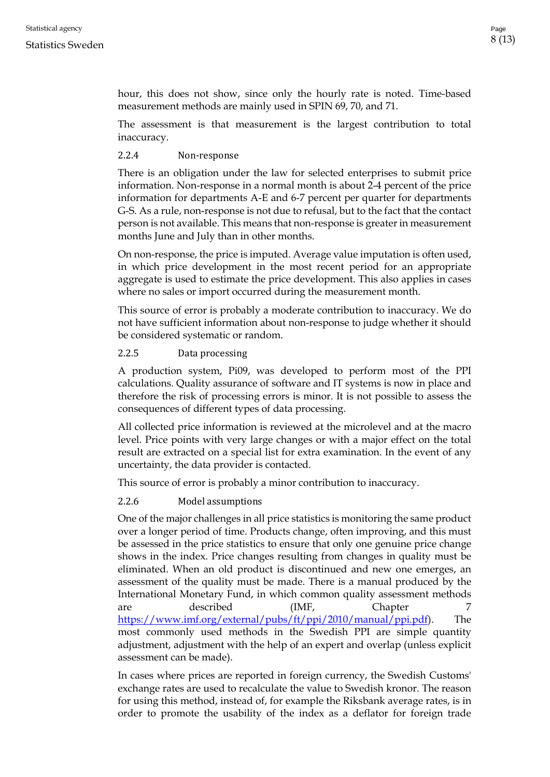hour, this does not show, since only the hourly rate is noted. Time-based measurement methods are mainly used in SPIN 69, 70, and 71.

The assessment is that measurement is the largest contribution to total inaccuracy.

#### <span id="page-7-0"></span>2.2.4 Non-response

There is an obligation under the law for selected enterprises to submit price information. Non-response in a normal month is about 2-4 percent of the price information for departments A-E and 6-7 percent per quarter for departments G-S. As a rule, non-response is not due to refusal, but to the fact that the contact person is not available. This means that non-response is greater in measurement months June and July than in other months.

On non-response, the price is imputed. Average value imputation is often used, in which price development in the most recent period for an appropriate aggregate is used to estimate the price development. This also applies in cases where no sales or import occurred during the measurement month.

This source of error is probably a moderate contribution to inaccuracy. We do not have sufficient information about non-response to judge whether it should be considered systematic or random.

#### <span id="page-7-1"></span>2.2.5 Data processing

A production system, Pi09, was developed to perform most of the PPI calculations. Quality assurance of software and IT systems is now in place and therefore the risk of processing errors is minor. It is not possible to assess the consequences of different types of data processing.

All collected price information is reviewed at the microlevel and at the macro level. Price points with very large changes or with a major effect on the total result are extracted on a special list for extra examination. In the event of any uncertainty, the data provider is contacted.

This source of error is probably a minor contribution to inaccuracy.

#### <span id="page-7-2"></span>2.2.6 Model assumptions

One of the major challenges in all price statistics is monitoring the same product over a longer period of time. Products change, often improving, and this must be assessed in the price statistics to ensure that only one genuine price change shows in the index. Price changes resulting from changes in quality must be eliminated. When an old product is discontinued and new one emerges, an assessment of the quality must be made. There is a manual produced by the International Monetary Fund, in which common quality assessment methods are described (IMF, Chapter 7 [https://www.imf.org/external/pubs/ft/ppi/2010/manual/ppi.pdf\)](https://www.imf.org/external/pubs/ft/ppi/2010/manual/ppi.pdf). The most commonly used methods in the Swedish PPI are simple quantity adjustment, adjustment with the help of an expert and overlap (unless explicit assessment can be made).

In cases where prices are reported in foreign currency, the Swedish Customs' exchange rates are used to recalculate the value to Swedish kronor. The reason for using this method, instead of, for example the Riksbank average rates, is in order to promote the usability of the index as a deflator for foreign trade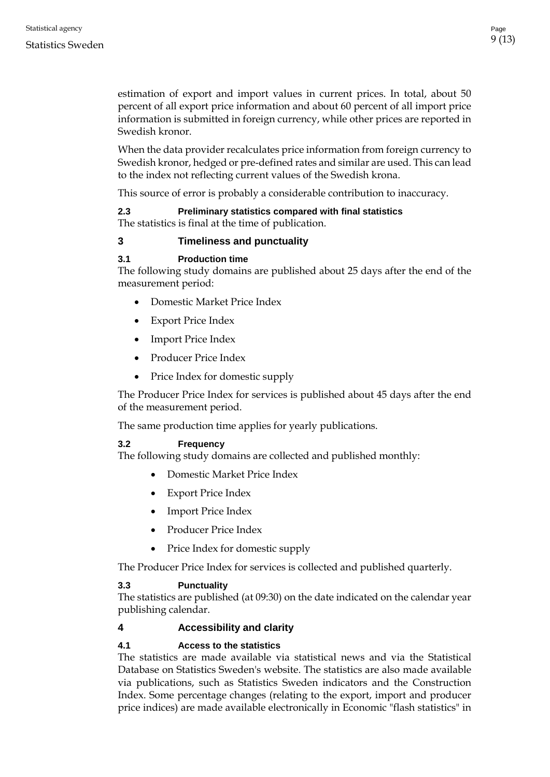estimation of export and import values in current prices. In total, about 50 percent of all export price information and about 60 percent of all import price information is submitted in foreign currency, while other prices are reported in Swedish kronor.

When the data provider recalculates price information from foreign currency to Swedish kronor, hedged or pre-defined rates and similar are used. This can lead to the index not reflecting current values of the Swedish krona.

This source of error is probably a considerable contribution to inaccuracy.

#### <span id="page-8-0"></span>**2.3 Preliminary statistics compared with final statistics** The statistics is final at the time of publication.

#### <span id="page-8-1"></span>**3 Timeliness and punctuality**

#### <span id="page-8-2"></span>**3.1 Production time**

The following study domains are published about 25 days after the end of the measurement period:

- Domestic Market Price Index
- Export Price Index
- Import Price Index
- Producer Price Index
- Price Index for domestic supply

The Producer Price Index for services is published about 45 days after the end of the measurement period.

The same production time applies for yearly publications.

#### <span id="page-8-3"></span>**3.2 Frequency**

The following study domains are collected and published monthly:

- Domestic Market Price Index
- Export Price Index
- Import Price Index
- Producer Price Index
- Price Index for domestic supply

The Producer Price Index for services is collected and published quarterly.

#### <span id="page-8-4"></span>**3.3 Punctuality**

The statistics are published (at 09:30) on the date indicated on the calendar year publishing calendar.

#### <span id="page-8-5"></span>**4 Accessibility and clarity**

#### <span id="page-8-6"></span>**4.1 Access to the statistics**

The statistics are made available via statistical news and via the Statistical Database on Statistics Sweden's website. The statistics are also made available via publications, such as Statistics Sweden indicators and the Construction Index. Some percentage changes (relating to the export, import and producer price indices) are made available electronically in Economic "flash statistics" in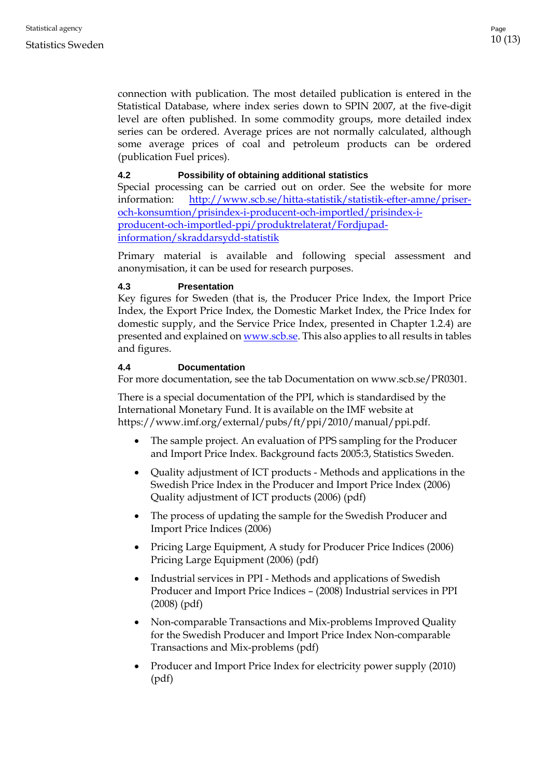connection with publication. The most detailed publication is entered in the Statistical Database, where index series down to SPIN 2007, at the five-digit level are often published. In some commodity groups, more detailed index series can be ordered. Average prices are not normally calculated, although some average prices of coal and petroleum products can be ordered (publication Fuel prices).

#### <span id="page-9-0"></span>**4.2 Possibility of obtaining additional statistics**

Special processing can be carried out on order. See the website for more information: [http://www.scb.se/hitta-statistik/statistik-efter-amne/priser](http://www.scb.se/hitta-statistik/statistik-efter-amne/priser-och-konsumtion/prisindex-i-producent-och-importled/prisindex-i-producent-och-importled-ppi/produktrelaterat/Fordjupad-information/skraddarsydd-statistik)[och-konsumtion/prisindex-i-producent-och-importled/prisindex-i](http://www.scb.se/hitta-statistik/statistik-efter-amne/priser-och-konsumtion/prisindex-i-producent-och-importled/prisindex-i-producent-och-importled-ppi/produktrelaterat/Fordjupad-information/skraddarsydd-statistik)[producent-och-importled-ppi/produktrelaterat/Fordjupad](http://www.scb.se/hitta-statistik/statistik-efter-amne/priser-och-konsumtion/prisindex-i-producent-och-importled/prisindex-i-producent-och-importled-ppi/produktrelaterat/Fordjupad-information/skraddarsydd-statistik)[information/skraddarsydd-statistik](http://www.scb.se/hitta-statistik/statistik-efter-amne/priser-och-konsumtion/prisindex-i-producent-och-importled/prisindex-i-producent-och-importled-ppi/produktrelaterat/Fordjupad-information/skraddarsydd-statistik)

Primary material is available and following special assessment and anonymisation, it can be used for research purposes.

#### <span id="page-9-1"></span>**4.3 Presentation**

Key figures for Sweden (that is, the Producer Price Index, the Import Price Index, the Export Price Index, the Domestic Market Index, the Price Index for domestic supply, and the Service Price Index, presented in Chapter 1.2.4) are presented and explained o[n www.scb.se.](http://www.scb.se/) This also applies to all results in tables and figures.

#### <span id="page-9-2"></span>**4.4 Documentation**

For more documentation, see the tab Documentation on www.scb.se/PR0301.

There is a special documentation of the PPI, which is standardised by the International Monetary Fund. It is available on the IMF website at https://www.imf.org/external/pubs/ft/ppi/2010/manual/ppi.pdf.

- The sample project. An evaluation of PPS sampling for the Producer and Import Price Index. Background facts 2005:3, Statistics Sweden.
- Quality adjustment of ICT products Methods and applications in the Swedish Price Index in the Producer and Import Price Index (2006) Quality adjustment of ICT products (2006) (pdf)
- The process of updating the sample for the Swedish Producer and Import Price Indices (2006)
- Pricing Large Equipment, A study for Producer Price Indices (2006) Pricing Large Equipment (2006) (pdf)
- Industrial services in PPI Methods and applications of Swedish Producer and Import Price Indices – (2008) Industrial services in PPI (2008) (pdf)
- Non-comparable Transactions and Mix-problems Improved Quality for the Swedish Producer and Import Price Index Non-comparable Transactions and Mix-problems (pdf)
- Producer and Import Price Index for electricity power supply (2010) (pdf)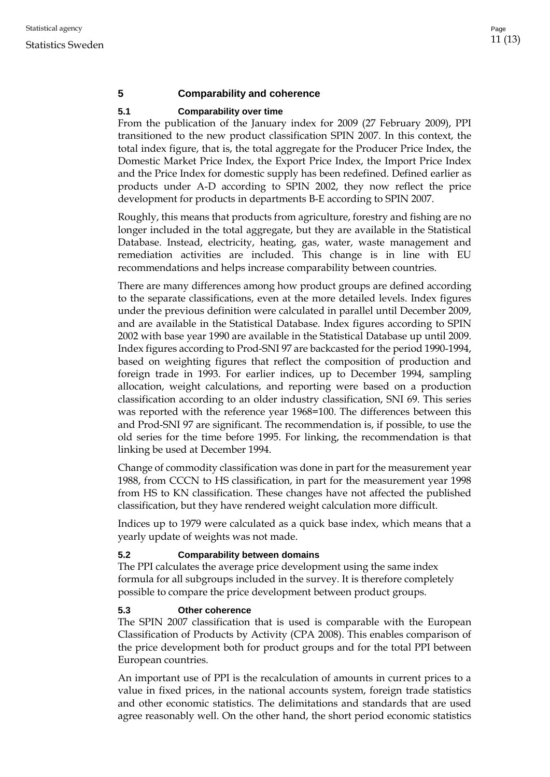#### <span id="page-10-0"></span>**5 Comparability and coherence**

#### <span id="page-10-1"></span>**5.1 Comparability over time**

From the publication of the January index for 2009 (27 February 2009), PPI transitioned to the new product classification SPIN 2007. In this context, the total index figure, that is, the total aggregate for the Producer Price Index, the Domestic Market Price Index, the Export Price Index, the Import Price Index and the Price Index for domestic supply has been redefined. Defined earlier as products under A-D according to SPIN 2002, they now reflect the price development for products in departments B-E according to SPIN 2007.

Roughly, this means that products from agriculture, forestry and fishing are no longer included in the total aggregate, but they are available in the Statistical Database. Instead, electricity, heating, gas, water, waste management and remediation activities are included. This change is in line with EU recommendations and helps increase comparability between countries.

There are many differences among how product groups are defined according to the separate classifications, even at the more detailed levels. Index figures under the previous definition were calculated in parallel until December 2009, and are available in the Statistical Database. Index figures according to SPIN 2002 with base year 1990 are available in the Statistical Database up until 2009. Index figures according to Prod-SNI 97 are backcasted for the period 1990-1994, based on weighting figures that reflect the composition of production and foreign trade in 1993. For earlier indices, up to December 1994, sampling allocation, weight calculations, and reporting were based on a production classification according to an older industry classification, SNI 69. This series was reported with the reference year 1968=100. The differences between this and Prod-SNI 97 are significant. The recommendation is, if possible, to use the old series for the time before 1995. For linking, the recommendation is that linking be used at December 1994.

Change of commodity classification was done in part for the measurement year 1988, from CCCN to HS classification, in part for the measurement year 1998 from HS to KN classification. These changes have not affected the published classification, but they have rendered weight calculation more difficult.

Indices up to 1979 were calculated as a quick base index, which means that a yearly update of weights was not made.

#### <span id="page-10-2"></span>**5.2 Comparability between domains**

The PPI calculates the average price development using the same index formula for all subgroups included in the survey. It is therefore completely possible to compare the price development between product groups.

#### <span id="page-10-3"></span>**5.3 Other coherence**

The SPIN 2007 classification that is used is comparable with the European Classification of Products by Activity (CPA 2008). This enables comparison of the price development both for product groups and for the total PPI between European countries.

An important use of PPI is the recalculation of amounts in current prices to a value in fixed prices, in the national accounts system, foreign trade statistics and other economic statistics. The delimitations and standards that are used agree reasonably well. On the other hand, the short period economic statistics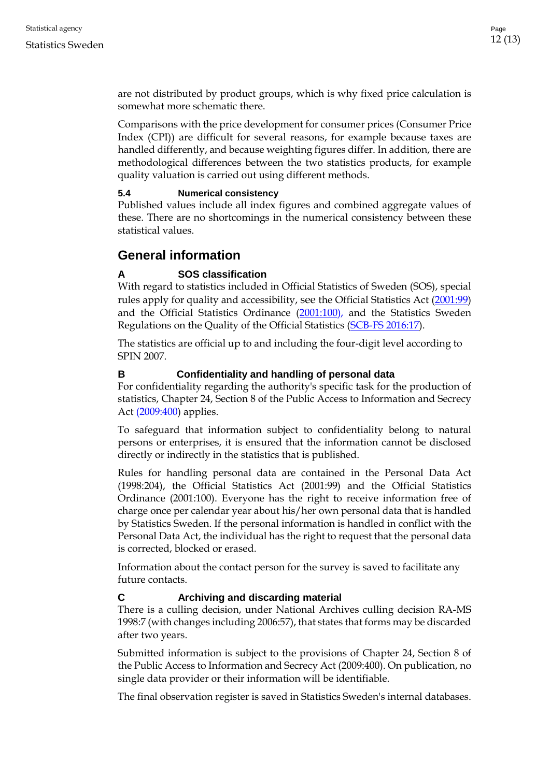are not distributed by product groups, which is why fixed price calculation is somewhat more schematic there.

Comparisons with the price development for consumer prices (Consumer Price Index (CPI)) are difficult for several reasons, for example because taxes are handled differently, and because weighting figures differ. In addition, there are methodological differences between the two statistics products, for example quality valuation is carried out using different methods.

#### <span id="page-11-0"></span>**5.4 Numerical consistency**

Published values include all index figures and combined aggregate values of these. There are no shortcomings in the numerical consistency between these statistical values.

## <span id="page-11-1"></span>**General information**

### <span id="page-11-2"></span>**A SOS classification**

With regard to statistics included in Official Statistics of Sweden (SOS), special rules apply for quality and accessibility, see the Official Statistics Act [\(2001:99\)](http://www.riksdagen.se/sv/Dokument-Lagar/Lagar/Svenskforfattningssamling/Lag-200199-om-den-officiell_sfs-2001-99/) and the Official Statistics Ordinance [\(2001:100\)](http://www.riksdagen.se/sv/dokument-lagar/dokument/svensk-forfattningssamling/forordning-2001100-om-den-officiella_sfs-2001-100), and the Statistics Sweden Regulations on the Quality of the Official Statistics (SCB-FS 2016:17).

The statistics are official up to and including the four-digit level according to SPIN 2007.

#### <span id="page-11-3"></span>**B Confidentiality and handling of personal data**

For confidentiality regarding the authority's specific task for the production of statistics, Chapter 24, Section 8 of the [Public Access to Information and Secrecy](http://www.riksdagen.se/sv/Dokument-Lagar/Lagar/Svenskforfattningssamling/Offentlighets--och-sekretessla_sfs-2009-400/)  Act [\(2009:400\)](http://www.riksdagen.se/sv/Dokument-Lagar/Lagar/Svenskforfattningssamling/Offentlighets--och-sekretessla_sfs-2009-400/) applies.

To safeguard that information subject to confidentiality belong to natural persons or enterprises, it is ensured that the information cannot be disclosed directly or indirectly in the statistics that is published.

Rules for handling personal data are contained in the Personal Data Act (1998:204), the Official Statistics Act (2001:99) and the Official Statistics Ordinance (2001:100). Everyone has the right to receive information free of charge once per calendar year about his/her own personal data that is handled by Statistics Sweden. If the personal information is handled in conflict with the Personal Data Act, the individual has the right to request that the personal data is corrected, blocked or erased.

Information about the contact person for the survey is saved to facilitate any future contacts.

#### <span id="page-11-4"></span>**C Archiving and discarding material**

There is a culling decision, under National Archives culling decision RA-MS 1998:7 (with changes including 2006:57), that states that forms may be discarded after two years.

Submitted information is subject to the provisions of Chapter 24, Section 8 of the Public Access to Information and Secrecy Act (2009:400). On publication, no single data provider or their information will be identifiable.

The final observation register is saved in Statistics Sweden's internal databases.